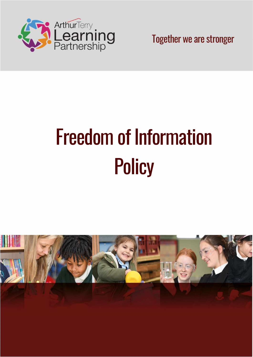

Together we are stronger

# Freedom of Information **Policy**

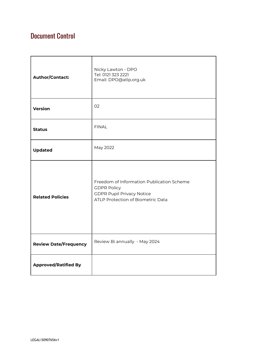# Document Control

| <b>Author/Contact:</b>       | Nicky Lawton - DPO<br>Tel: 0121 323 2221<br>Email: DPO@atlp.org.uk                                                                       |
|------------------------------|------------------------------------------------------------------------------------------------------------------------------------------|
| <b>Version</b>               | 02                                                                                                                                       |
| <b>Status</b>                | <b>FINAL</b>                                                                                                                             |
| <b>Updated</b>               | May 2022                                                                                                                                 |
| <b>Related Policies</b>      | Freedom of Information Publication Scheme<br><b>GDPR Policy</b><br><b>GDPR Pupil Privacy Notice</b><br>ATLP Protection of Biometric Data |
| <b>Review Date/Frequency</b> | Review Bi annually - May 2024                                                                                                            |
| <b>Approved/Ratified By</b>  |                                                                                                                                          |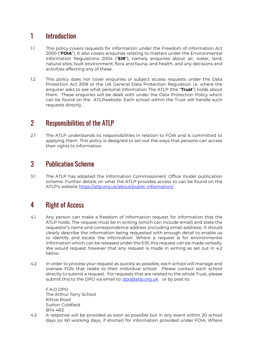# 1 Introduction

- 1.1 This policy covers requests for information under the Freedom of Information Act 2000 ("FOIA"). It also covers enquiries relating to matters under the Environmental Information Regulations 2004 ("EIR"), namely enquiries about air, water, land, natural sites, built environment, flora and fauna, and health, and any decisions and activities affecting any of these.
- 1.2 This policy does not cover enquiries or subject access requests under the Data Protection Act 2018 or the UK General Data Protection Regulation i.e. where the enquirer asks to see what personal information The ATLP (the "Trust") holds about them. These enquiries will be dealt with under the Data Protection Policy which can be found on the ATLPwebsite. Each school within the Trust will handle such requests directly.

## 2 Responsibilities of the ATLP

2.1 The ATLP understands its responsibilities in relation to FOIA and is committed to applying them. This policy is designed to set out the ways that persons can access their rights to information.

#### 3 Publication Scheme

3.1 The ATLP has adopted the Information Commissioners' Office model publication scheme. Further details on what the ATLP provides access to can be found on the ATLP's website https://atlp.org.uk/about/public-information/

## 4 Right of Access

- 4.1 Any person can make a freedom of information request for information that the ATLP holds. The request must be in writing (which can include email) and state the requestor's name and correspondence address (including email address). It should clearly describe the information being requested with enough detail to enable us to identify and locate the information. Where a request is for environmental information which can be released under the EIR, this request can be made verbally. We would request however that any request is made in writing as set out in 4.2 below.
- 4.2 In order to process your request as quickly as possible, each school will manage and oversee FOIs that relate to their individual school. Please contact each school directly to submit a request. For requests that are related to the whole Trust, please submit this to the DPO via email to: dpo@atlp.org.uk. or by post to:

F.A.O DPO The Arthur Terry School Kittoe Road Sutton Coldfield B74 4RZ

4.3 A response will be provided as soon as possible but in any event within 20 school days (or 60 working days, if shorter) for information provided under FOIA. Where